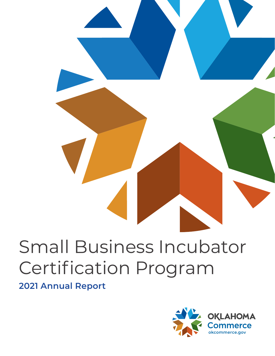# Small Business Incubator Certification Program

**2021 Annual Report** 

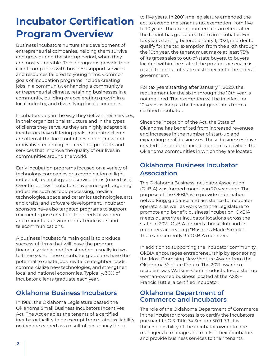### **Incubator Certification Program Overview**

Business incubators nurture the development of entrepreneurial companies, helping them survive and grow during the startup period, when they are most vulnerable. These programs provide their client companies with business support services and resources tailored to young firms. Common goals of incubation programs include creating jobs in a community, enhancing a community's entrepreneurial climate, retaining businesses in a community, building or accelerating growth in a local industry, and diversifying local economies.

Incubators vary in the way they deliver their services, in their organizational structure and in the types of clients they serve. As they are highly adaptable, incubators have differing goals. Incubator clients are often at the forefront of developing new and innovative technologies – creating products and services that improve the quality of our lives in communities around the world.

Early incubation programs focused on a variety of technology companies or a combination of light industrial, technology and service firms (mixed use). Over time, new incubators have emerged targeting industries such as food processing, medical technologies, space and ceramics technologies, arts and crafts, and software development. Incubator sponsors have also targeted programs to support microenterprise creation, the needs of women and minorities, environmental endeavors and telecommunications.

A business incubator's main goal is to produce successful firms that will leave the program financially viable and freestanding, usually in two to three years. These incubator graduates have the potential to create jobs, revitalize neighborhoods, commercialize new technologies, and strengthen local and national economies. Typically, 30% of incubator clients graduate each year.

#### **Oklahoma Business Incubators**

In 1988, the Oklahoma Legislature passed the Oklahoma Small Business Incubators Incentives Act. The Act enables the tenants of a certified incubator facility to be exempt from state tax liability on income earned as a result of occupancy for up

to five years. In 2001, the legislature amended the act to extend the tenant's tax exemption from five to 10 years. The exemption remains in effect after the tenant has graduated from an incubator. For tax years starting before January 1, 2021, in order to qualify for the tax exemption from the sixth through the 10th year, the tenant must make at least 75% of its gross sales to out-of-state buyers, to buyers located within the state if the product or service is resold to an out-of-state customer, or to the federal government.

For tax years starting after January 1, 2020, the requirement for the sixth through the 10th year is not required. The exemption will be in effect for 10 years as long as the tenant graduates from a certified incubator.

Since the inception of the Act, the State of Oklahoma has benefited from increased revenues and increases in the number of start-up and expanding small businesses. These businesses have created jobs and enhanced economic activity in the Oklahoma communities in which they are located.

#### **Oklahoma Business Incubator Association**

The Oklahoma Business Incubator Association (OkBIA) was formed more than 20 years ago. The purpose of the OkBIA is to provide information, networking, guidance and assistance to incubator operators, as well as work with the Legislature to promote and benefit business incubation. OkBIA meets quarterly at incubator locations across the state. In 2021, OkBIA formed a book club and its members are reading "Business Made Simple". There are currently 34 OkBIA members.

In addition to supporting the incubator community, OkBIA encourages entrepreneurship by sponsoring the Most Promising New Venture Award from the Oklahoma Venture Forum. The 2021 award corecipient was Watkins-Conti Products, Inc., a startup woman-owned business located at the AXIS – Francis Tuttle, a certified incubator.

#### **Oklahoma Department of Commerce and Incubators**

The role of the Oklahoma Department of Commerce in the incubator process is to certify the incubators pursuant to O.S. Title 74 Section 5071-79. It is the responsibility of the incubator owner to hire managers to manage and market their incubators and provide business services to their tenants.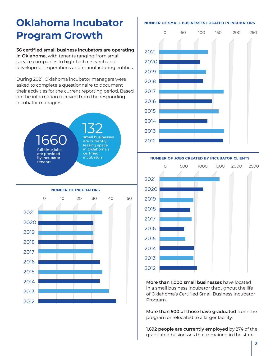### **Oklahoma Incubator NUMBER OF SMALL BUSINESSES LOCATED IN INCUBATORS Program Growth**

**36 certified small business incubators are operating in Oklahoma,** with tenants ranging from small service companies to high-tech research and development operations and manufacturing entities.

During 2021, Oklahoma incubator managers were asked to complete a questionnaire to document their activities for the current reporting period. Based on the information received from the responding incubator managers:







**NUMBER OF JOBS CREATED BY INCUBATOR CLIENTS**



**More than 1,000 small businesses** have located in a small business incubator throughout the life of Oklahoma's Certified Small Business Incubator Program.

**More than 500 of those have graduated** from the program or relocated to a larger facility.

**1,692 people are currently employed** by 274 of the graduated businesses that remained in the state.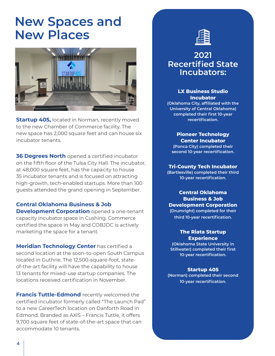### **New Spaces and New Places**



**Startup 405, located in Norman, recently moved** to the new Chamber of Commerce facility. The new space has 2,000 square feet and can house six incubator tenants.

**36 Degrees North** opened a certified incubator on the fifth floor of the Tulsa City Hall. The incubator, at 48,000 square feet, has the capacity to house 35 incubator tenants and is focused on attracting high-growth, tech-enabled startups. More than 100 guests attended the grand opening in September.

**Central Oklahoma Business & Job Development Corporation** opened a one-tenant capacity incubator space in Cushing. Commerce certified the space in May and COBJDC is actively marketing the space for a tenant.

**Meridian Technology Center** has certified a second location at the soon-to-open South Campus located in Guthrie. The 12,500-square-foot, stateof-the-art facility will have the capability to house 13 tenants for mixed-use startup companies. The locations received certification in November.

**Francis Tuttle-Edmond** recently welcomed the certified incubator formerly called "The Launch Pad" to a new CareerTech location on Danforth Road in Edmond. Branded as AXIS – Francis Tuttle, it offers 9,700 square feet of state-of-the-art space that can accommodate 10 tenants.



#### **2021 Recertified State Incubators:**

#### **LX Business Studio Incubator**

**(Oklahoma City, affiliated with the University of Central Oklahoma) completed their first 10-year recertification.** 

**Pioneer Technology Center Incubator (Ponca City) completed their second 10-year recertification.**

#### **Tri-County Tech Incubator**

**(Bartlesville) completed their third 10-year recertification.**

**Central Oklahoma Business & Job Development Corporation (Drumright) completed for their third 10-year recertification.**

#### **The Riata Startup Experience**

**(Oklahoma State University in Stillwater) completed their first 10-year recertification.**

#### **Startup 405**

**(Norman) completed their second 10-year recertification.**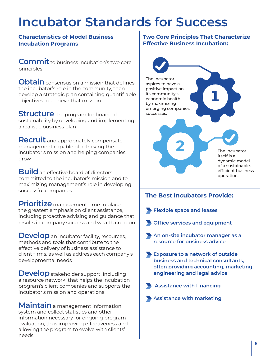## **Incubator Standards for Success**

#### **Characteristics of Model Business Incubation Programs**

**Commit** to business incubation's two core principles

**Obtain** consensus on a mission that defines the incubator's role in the community, then develop a strategic plan containing quantifiable objectives to achieve that mission

**Structure** the program for financial sustainability by developing and implementing a realistic business plan

**Recruit** and appropriately compensate management capable of achieving the incubator's mission and helping companies grow

**Build** an effective board of directors committed to the incubator's mission and to maximizing management's role in developing successful companies

**Prioritize** management time to place the greatest emphasis on client assistance, including proactive advising and guidance that results in company success and wealth creation

**Develop** an incubator facility, resources, methods and tools that contribute to the effective delivery of business assistance to client firms, as well as address each company's developmental needs

**Develop** stakeholder support, including a resource network, that helps the incubation program's client companies and supports the incubator's mission and operations

**Maintain** a management information system and collect statistics and other information necessary for ongoing program evaluation, thus improving effectiveness and allowing the program to evolve with clients' needs

#### **Two Core Principles That Characterize Effective Business Incubation:**



#### **The Best Incubators Provide:**

**Flexible space and leases**

- **Office services and equipment**
- **An on-site incubator manager as a resource for business advice**
- **Exposure to a network of outside business and technical consultants, often providing accounting, marketing, engineering and legal advice**
- 

 **Assistance with financing**

**Assistance with marketing**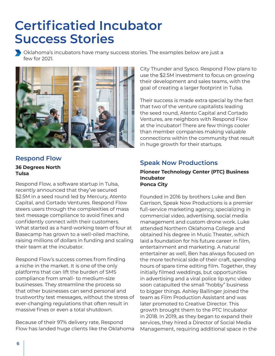### **Certificatied Incubator Success Stories**

Oklahoma's incubators have many success stories. The examples below are just a few for 2021.



### **Respond Flow**

#### **36 Degrees North Tulsa**

Respond Flow, a software startup in Tulsa, recently announced that they've secured \$2.5M in a seed round led by Mercury, Atento Capital, and Cortado Ventures. Respond Flow steers users through the complexities of mass text message compliance to avoid fines and confidently connect with their customers. What started as a hard-working team of four at Basecamp has grown to a well-oiled machine, raising millions of dollars in funding and scaling their team at the incubator.

Respond Flow's success comes from finding a niche in the market. It is one of the only platforms that can lift the burden of SMS compliance from small- to medium-size businesses. They streamline the process so that other businesses can send personal and trustworthy test messages, without the stress of ever-changing regulations that often result in massive fines or even a total shutdown.

Because of their 97% delivery rate, Respond Flow has landed huge clients like the Oklahoma City Thunder and Sysco. Respond Flow plans to use the \$2.5M investment to focus on growing their development and sales teams, with the goal of creating a larger footprint in Tulsa.

Their success is made extra special by the fact that two of the venture capitalists leading the seed round, Atento Capital and Cortado Ventures, are neighbors with Respond Flow at the incubator! There are few things cooler than member companies making valuable connections within the community that result in huge growth for their startups.

#### **Speak Now Productions**

#### **Pioneer Technology Center (PTC) Business Incubator Ponca City**

Founded in 2016 by brothers Luke and Ben Garrison, Speak Now Productions is a premier full-service marketing agency, specializing in commercial video, advertising, social media management and custom drone work. Luke attended Northern Oklahoma College and obtained his degree in Music Theater, which laid a foundation for his future career in film, entertainment and marketing. A natural entertainer as well, Ben has always focused on the more technical side of their craft, spending hours of spare time editing film. Together, they initially filmed weddings, but opportunities in advertising and a viral police lip sync video soon catapulted the small "hobby" business to bigger things. Ashley Ballinger joined the team as Film Production Assistant and was later promoted to Creative Director. This growth brought them to the PTC Incubator in 2018. In 2019, as they began to expand their services, they hired a Director of Social Media Management, requiring additional space in the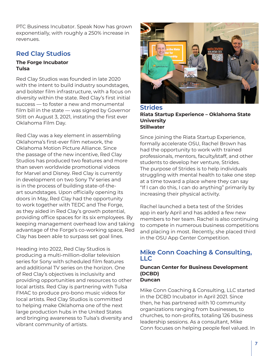PTC Business Incubator. Speak Now has grown exponentially, with roughly a 250% increase in revenues.

#### **Red Clay Studios**

#### **The Forge Incubator Tulsa**

Red Clay Studios was founded in late 2020 with the intent to build industry soundstages, and bolster film infrastructure, with a focus on diversity within the state. Red Clay's first initial success — to foster a new and monumental film bill in the state — was signed by Governor Stitt on August 3, 2021, instating the first ever Oklahoma Film Day.

Red Clay was a key element in assembling Oklahoma's first-ever film network, the Oklahoma Motion Picture Alliance. Since the passage of the new incentive, Red Clay Studios has produced two features and more than seven worldwide promotional videos for Marvel and Disney. Red Clay is currently in development on two Sony TV series and is in the process of building state-of-theart soundstages. Upon officially opening its doors in May, Red Clay had the opportunity to work together with TEDC and The Forge, as they aided in Red Clay's growth potential, providing office spaces for its six employees. By keeping management overhead low and taking advantage of the Forge's co-working space, Red Clay has been able to surpass set goal lines.

Heading into 2022, Red Clay Studios is producing a multi-million-dollar television series for Sony with scheduled film features and additional TV series on the horizon. One of Red Clay's objectives is inclusivity and providing opportunities and resources to other local artists. Red Clay is partnering with Tulsa FMAC to produce pro-bono music videos for local artists. Red Clay Studios is committed to helping make Oklahoma one of the next large production hubs in the United States and bringing awareness to Tulsa's diversity and vibrant community of artists.



**Strides Riata Startup Experience – Oklahoma State University Stillwater** 

Since joining the Riata Startup Experience, formally accelerate OSU, Rachel Brown has had the opportunity to work with trained professionals, mentors, faculty/staff, and other students to develop her venture, Strides. The purpose of Strides is to help individuals struggling with mental health to take one step at a time toward a place where they can say "If I can do this, I can do anything" primarily by increasing their physical activity.

Rachel launched a beta test of the Strides app in early April and has added a few new members to her team. Rachel is also continuing to compete in numerous business competitions and placing in most. Recently, she placed third in the OSU App Center Competition.

#### **Mike Conn Coaching & Consulting, LLC**

#### **Duncan Center for Business Development (DCBD) Duncan**

Mike Conn Coaching & Consulting, LLC started in the DCBD Incubator in April 2021. Since then, he has partnered with 10 community organizations ranging from businesses, to churches, to non-profits, totaling 126 business leadership sessions. As a consultant, Mike Conn focuses on helping people feel valued. In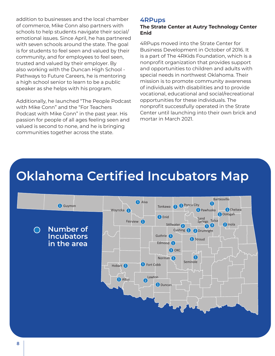addition to businesses and the local chamber of commerce, Mike Conn also partners with schools to help students navigate their social/ emotional issues. Since April, he has partnered with seven schools around the state. The goal is for students to feel seen and valued by their community, and for employees to feel seen, trusted and valued by their employer. By also working with the Duncan High School - Pathways to Future Careers, he is mentoring a high school senior to learn to be a public speaker as she helps with his program.

Additionally, he launched "The People Podcast with Mike Conn" and the "For Teachers Podcast with Mike Conn" in the past year. His passion for people of all ages feeling seen and valued is second to none, and he is bringing communities together across the state.

#### **4RPups**

#### **The Strate Center at Autry Technology Center Enid**

4RPups moved into the Strate Center for Business Development in October of 2016. It is a part of The 4RKids Foundation, which is a nonprofit organization that provides support and opportunities to children and adults with special needs in northwest Oklahoma. Their mission is to promote community awareness of individuals with disabilities and to provide vocational, educational and social/recreational opportunities for these individuals. The nonprofit successfully operated in the Strate Center until launching into their own brick and mortar in March 2021.

### **Oklahoma Certified Incubators Map**

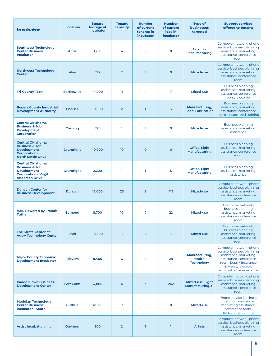| <b>Incubator</b>                                                                                                                   | <b>Location</b>     | <b>Square</b><br>footage of<br><b>incubator</b> | <b>Tenant</b><br>capacity | <b>Number</b><br>of current<br>tenants in<br>incubator | <b>Number</b><br>of current<br>jobs in<br><b>incubator</b> | <b>Type of</b><br><b>businesses</b><br>targeted | <b>Support services</b><br>offered to tenants                                                                                                                                           |
|------------------------------------------------------------------------------------------------------------------------------------|---------------------|-------------------------------------------------|---------------------------|--------------------------------------------------------|------------------------------------------------------------|-------------------------------------------------|-----------------------------------------------------------------------------------------------------------------------------------------------------------------------------------------|
| <b>Southwest Technology</b><br><b>Center Business</b><br><b>Incubator</b>                                                          | <b>Altus</b>        | 1,250                                           | 4                         | $\mathbf{o}$                                           | $\mathbf 0$                                                | Aviation,<br>Manufacturing                      | Computer network, phone<br>service, business planning<br>assistance, marketing<br>assistance, conference<br>room                                                                        |
| <b>Northwest Technology</b><br><b>Center</b>                                                                                       | Alva                | 772                                             | $\overline{2}$            | $\mathbf{O}$                                           | $\mathbf{O}$                                               | Mixed-use                                       | Computer network, phone<br>service, business planning<br>assistance, marketing<br>assistance, conference<br>room                                                                        |
| <b>Tri-County Tech</b>                                                                                                             | <b>Bartlesville</b> | 14,000                                          | 15                        | 4                                                      | 7                                                          | Mixed-use                                       | <b>Business planning</b><br>assistance, marketing<br>assistance, conference<br>room, fax/copier                                                                                         |
| <b>Rogers County Industrial</b><br><b>Development Authority</b>                                                                    | <b>Chelsea</b>      | 10,000                                          | $\overline{2}$            | $\mathbf{I}$                                           | 17                                                         | Manufacturing,<br><b>Food, Fabrication</b>      | <b>Business planning</b><br>assistance, marketing<br>assistance, conference<br>room, customized training                                                                                |
| <b>Central Oklahoma</b><br><b>Business &amp; Job</b><br><b>Development</b><br><b>Corporation</b>                                   | Cushing             | 725                                             | T.                        | $\mathbf{o}$                                           | $\mathbf 0$                                                | Mixed-use                                       | <b>Business planning</b><br>assistance, marketing<br>assistance                                                                                                                         |
| <b>Central Oklahoma</b><br><b>Business &amp; Job</b><br><b>Development</b><br><b>Corporation -</b><br><b>North Settle Drive</b>    | <b>Drumright</b>    | 10,000                                          | 10 <sup>10</sup>          | $\mathbf{O}$                                           | $\mathbf{O}$                                               | Office, Light<br>Manufacturing                  | <b>Business planning</b><br>assistance, marketing<br>assistance, conference<br>room                                                                                                     |
| <b>Central Oklahoma</b><br><b>Business &amp; Job</b><br><b>Development</b><br><b>Corporation - Virgil</b><br><b>Anderson Drive</b> | <b>Drumright</b>    | 2,200                                           | L.                        | T.                                                     | 5                                                          | Office, Light<br>Manufacturing                  | <b>Business planning</b><br>assistance, marketing<br>assistance                                                                                                                         |
| <b>Duncan Center for</b><br><b>Business Development</b>                                                                            | <b>Duncan</b>       | 12,000                                          | 23                        | 8                                                      | 415                                                        | Mixed-use                                       | Computer network, phone<br>service, business planning<br>assistance, marketing<br>assistance, conference<br>room                                                                        |
| <b>AXIS Powered by Francis</b><br><b>Tuttle</b>                                                                                    | <b>Edmond</b>       | 9,700                                           | 10                        | 7                                                      | 22                                                         | Mixed-use                                       | Computer network,<br>business planning<br>assistance, marketing<br>assistance, conference<br>room                                                                                       |
| <b>The Strate Center at</b><br><b>Autry Technology Center</b>                                                                      | Enid                | 18,000                                          | 12                        | 6                                                      | $12 \overline{ }$                                          | Mixed-use                                       | Computer network,<br>business planning<br>assistance, marketing<br>assistance, conference<br>room                                                                                       |
| <b>Major County Economic</b><br><b>Development Incubator</b>                                                                       | <b>Fairview</b>     | 8,400                                           | 6                         | 4                                                      | 28                                                         | Manufacturing,<br>Health,<br><b>Technology</b>  | Computer network, phone<br>service, business planning<br>assistance, marketing<br>assistance, conference<br>room, legal + insurance<br>advisory, fax/copy/<br>administrative assistance |
| <b>Caddo Kiowa Business</b><br><b>Development Center</b>                                                                           | <b>Fort Cobb</b>    | 4,805                                           | 4                         | 3                                                      | 242                                                        | Mixed-use, Light<br><b>Manufacturing, IT</b>    | Computer network, phone<br>service, business planning<br>assistance, marketing<br>assistance, conference<br>room                                                                        |
| <b>Meridian Technology</b><br><b>Center Business</b><br><b>Incubator - South</b>                                                   | <b>Guthrie</b>      | 12,500                                          | 13                        | 0                                                      | $\mathbf o$                                                | Mixed-use                                       | Phone service, business<br>planning assistance,<br>marketing assistance,<br>conference room,<br>consulting, training                                                                    |
| <b>Artist Incubation, Inc.</b>                                                                                                     | Guymon              | 200                                             | $\overline{2}$            | ı.                                                     | T.                                                         | <b>Artists</b>                                  | Computer network, phone<br>service, business planning<br>assistance, marketing<br>assistance, conference<br>room                                                                        |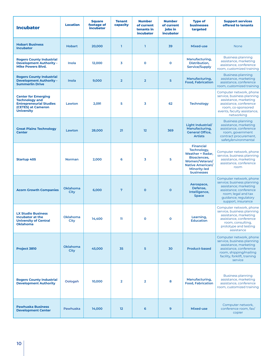| <b>Incubator</b>                                                                                                                 | <b>Location</b>  | <b>Square</b><br>footage of<br><b>incubator</b> | <b>Tenant</b><br>capacity | <b>Number</b><br>of current<br>tenants in<br><b>incubator</b> | <b>Number</b><br>of current<br>iobs in<br><b>incubator</b> | <b>Type of</b><br><b>businesses</b><br>targeted                                                                                                              | <b>Support services</b><br>offered to tenants                                                                                                                                 |
|----------------------------------------------------------------------------------------------------------------------------------|------------------|-------------------------------------------------|---------------------------|---------------------------------------------------------------|------------------------------------------------------------|--------------------------------------------------------------------------------------------------------------------------------------------------------------|-------------------------------------------------------------------------------------------------------------------------------------------------------------------------------|
| <b>Hobart Business</b><br><b>Incubator</b>                                                                                       | <b>Hobart</b>    | 20,000                                          | $\mathbf{I}$              | T.                                                            | 39                                                         | Mixed-use                                                                                                                                                    | <b>None</b>                                                                                                                                                                   |
| <b>Rogers County Industrial</b><br><b>Development Authority -</b><br><b>Mike Powers Blvd.</b>                                    | Inola            | 12.000                                          | 3                         | $\mathbf{o}$                                                  | $\mathbf o$                                                | Manufacturing,<br>Distribution,<br>Service/Supply                                                                                                            | <b>Business planning</b><br>assistance, marketing<br>assistance, conference<br>room, customized training                                                                      |
| <b>Rogers County Industrial</b><br><b>Development Authority -</b><br><b>Summerlin Drive</b>                                      | Inola            | 9.000                                           | $\overline{2}$            | $\overline{2}$                                                | 5                                                          | Manufacturing,<br><b>Food, Fabrication</b>                                                                                                                   | <b>Business planning</b><br>assistance, marketing<br>assistance, conference<br>room, customized training                                                                      |
| <b>Center for Emerging</b><br><b>Technology and</b><br><b>Entrepreneurial Studies</b><br>(CETES) at Cameron<br><b>University</b> | Lawton           | 2,091                                           | 5                         | 3                                                             | 62                                                         | <b>Technology</b>                                                                                                                                            | Computer network, phone<br>service, business planning<br>assistance, marketing<br>assistance, conference<br>room, co-sponsored<br>events, faculty assistance,<br>networking   |
| <b>Great Plains Technology</b><br><b>Center</b>                                                                                  | Lawton           | 28,000                                          | 21                        | 12                                                            | 369                                                        | Light Industrial/<br>Manufacturing,<br><b>General Office,</b><br><b>Artists</b>                                                                              | <b>Business planning</b><br>assistance, marketing<br>assistance, conference<br>room, government<br>contract procurement,<br>safety/environmental                              |
| <b>Startup 405</b>                                                                                                               | <b>Norman</b>    | 2,000                                           | 6                         | 3                                                             | 5                                                          | <b>Financial</b><br>Technology,<br>Weather + Radar,<br><b>Biosciences.</b><br>Women/Veteran/<br><b>Native American/</b><br>Minority-led<br><b>businesses</b> | Computer network, phone<br>service, business planning<br>assistance, marketing<br>assistance, conference<br>room                                                              |
| <b>Acorn Growth Companies</b>                                                                                                    | Oklahoma<br>City | 6,000                                           | $7\phantom{.0}$           | $\mathbf 0$                                                   | $\mathbf 0$                                                | Aerospace,<br>Defense,<br>Intelligence,<br><b>Space</b>                                                                                                      | Computer network, phone<br>service; business planning<br>assistance; marketing<br>assistance; conference<br>room; legal and tax<br>guidance; regulatory<br>support, insurance |
| <b>LX Studio Business</b><br>Incubator at the<br><b>University of Central</b><br><b>Oklahoma</b>                                 | Oklahoma<br>City | 14,400                                          | n                         | O                                                             | $\mathbf{o}$                                               | Learning,<br><b>Education</b>                                                                                                                                | Computer network, phone<br>service, business planning<br>assistance, marketing<br>assistance, conference<br>room, consulting,<br>prototype and testing<br>assistance          |
| Project 3810                                                                                                                     | Oklahoma<br>City | 45,000                                          | 35                        | 5                                                             | 30                                                         | <b>Product-based</b>                                                                                                                                         | Computer network, phone<br>service, business planning<br>assistance, marketing<br>assistance, conference<br>room, shipping/mailing<br>facility, forklift, training<br>service |
| <b>Rogers County Industrial</b><br><b>Development Authority</b>                                                                  | Oologah          | 10,000                                          | $\overline{2}$            | $\overline{2}$                                                | 8                                                          | Manufacturing,<br><b>Food, Fabrication</b>                                                                                                                   | <b>Business planning</b><br>assistance, marketing<br>assistance, conference<br>room, customized training                                                                      |
| <b>Pawhuska Business</b><br><b>Development Center</b>                                                                            | Pawhuska         | 14,000                                          | 12                        | 6                                                             | 9                                                          | Mixed-use                                                                                                                                                    | Computer network,<br>conference room, fax/<br>copier                                                                                                                          |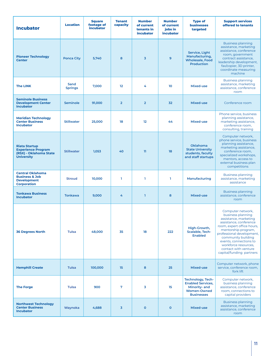| <b>Incubator</b>                                                                                 | <b>Location</b>        | <b>Square</b><br>footage of<br><i>incubator</i> | <b>Tenant</b><br>capacity | <b>Number</b><br>of current<br>tenants in<br>incubator | <b>Number</b><br>of current<br>jobs in<br><i>incubator</i> | <b>Type of</b><br><b>businesses</b><br>targeted                                                                  | <b>Support services</b><br>offered to tenants                                                                                                                                                                                                                                                           |
|--------------------------------------------------------------------------------------------------|------------------------|-------------------------------------------------|---------------------------|--------------------------------------------------------|------------------------------------------------------------|------------------------------------------------------------------------------------------------------------------|---------------------------------------------------------------------------------------------------------------------------------------------------------------------------------------------------------------------------------------------------------------------------------------------------------|
| <b>Pioneer Technology</b><br><b>Center</b>                                                       | <b>Ponca City</b>      | 5,740                                           | 8                         | $\overline{3}$                                         | 9                                                          | Service, Light<br>Manufacturing,<br><b>Wholesale, Food</b><br><b>Production</b>                                  | <b>Business planning</b><br>assistance, marketing<br>assistance, conference<br>room, government<br>contract assistance,<br>leadership development,<br>fax/copier, 3D printer,<br>coordinate measuring<br>machine                                                                                        |
| <b>The LINK</b>                                                                                  | Sand<br><b>Springs</b> | 7,000                                           | 12                        | 4                                                      | 10                                                         | Mixed-use                                                                                                        | <b>Business planning</b><br>assistance, marketing<br>assistance, conference<br>room                                                                                                                                                                                                                     |
| <b>Seminole Business</b><br><b>Development Center</b><br><b>Incubator</b>                        | <b>Seminole</b>        | 91,000                                          | $\overline{2}$            | $\overline{2}$                                         | 32                                                         | Mixed-use                                                                                                        | Conference room                                                                                                                                                                                                                                                                                         |
| <b>Meridian Technology</b><br><b>Center Business</b><br><b>Incubator</b>                         | <b>Stillwater</b>      | 25,000                                          | 18                        | 12                                                     | 44                                                         | Mixed-use                                                                                                        | Phone service, business<br>planning assistance,<br>marketing assistance,<br>conference room,<br>consulting, training                                                                                                                                                                                    |
| <b>Riata Startup</b><br><b>Experience Program</b><br>(RSX) - Oklahoma State<br><b>University</b> | <b>Stillwater</b>      | 1,053                                           | 40                        | 11                                                     | 18                                                         | <b>Oklahoma</b><br><b>State University</b><br>students, faculty<br>and staff startups                            | Computer network,<br>phone service, business<br>planning assistance,<br>marketing assistance,<br>conference room,<br>specialized workshops,<br>mentors, access to<br>external business plan<br>competitions                                                                                             |
| <b>Central Oklahoma</b><br><b>Business &amp; Job</b><br><b>Development</b><br><b>Corporation</b> | <b>Stroud</b>          | 10,000                                          | L.                        | L.                                                     | T.                                                         | Manufacturing                                                                                                    | <b>Business planning</b><br>assistance, marketing<br>assistance                                                                                                                                                                                                                                         |
| <b>Tonkawa Business</b><br><b>Incubator</b>                                                      | <b>Tonkawa</b>         | 9,000                                           | 4                         | $\mathbf{I}$                                           | 8                                                          | Mixed-use                                                                                                        | <b>Business planning</b><br>assistance, conference<br>room                                                                                                                                                                                                                                              |
| <b>36 Degrees North</b>                                                                          | <b>Tulsa</b>           | 48,000                                          | 35                        | 18                                                     | 222                                                        | High-Growth,<br>Scalable, Tech-<br><b>Enabled</b>                                                                | Computer network,<br>business planning<br>assistance, marketing<br>assistance, conference<br>room, expert office hours,<br>mentorship program,<br>professional development,<br>community building<br>events, connections to<br>workforce resources.<br>contact with venture<br>capital/funding partners |
| <b>Hemphill Create</b>                                                                           | <b>Tulsa</b>           | 100,000                                         | 15                        | 8                                                      | 25                                                         | Mixed-use                                                                                                        | Computer network, phone<br>service, conference room,<br>fork lift                                                                                                                                                                                                                                       |
| <b>The Forge</b>                                                                                 | <b>Tulsa</b>           | 900                                             | 7                         | 3                                                      | 15                                                         | <b>Technology, Tech-</b><br><b>Enabled Services,</b><br>Minority- and<br><b>Women-Owned</b><br><b>Businesses</b> | Computer network,<br>business planning<br>assistance, conference<br>room, connections to<br>capital providers                                                                                                                                                                                           |
| <b>Northwest Technology</b><br><b>Center Business</b><br><b>Incubator</b>                        | Waynoka                | 4,688                                           | $\overline{\mathbf{3}}$   | $\mathbf{o}$                                           | $\mathbf{o}$                                               | Mixed-use                                                                                                        | <b>Business planning</b><br>assistance, marketing<br>assistance, conference<br>room                                                                                                                                                                                                                     |